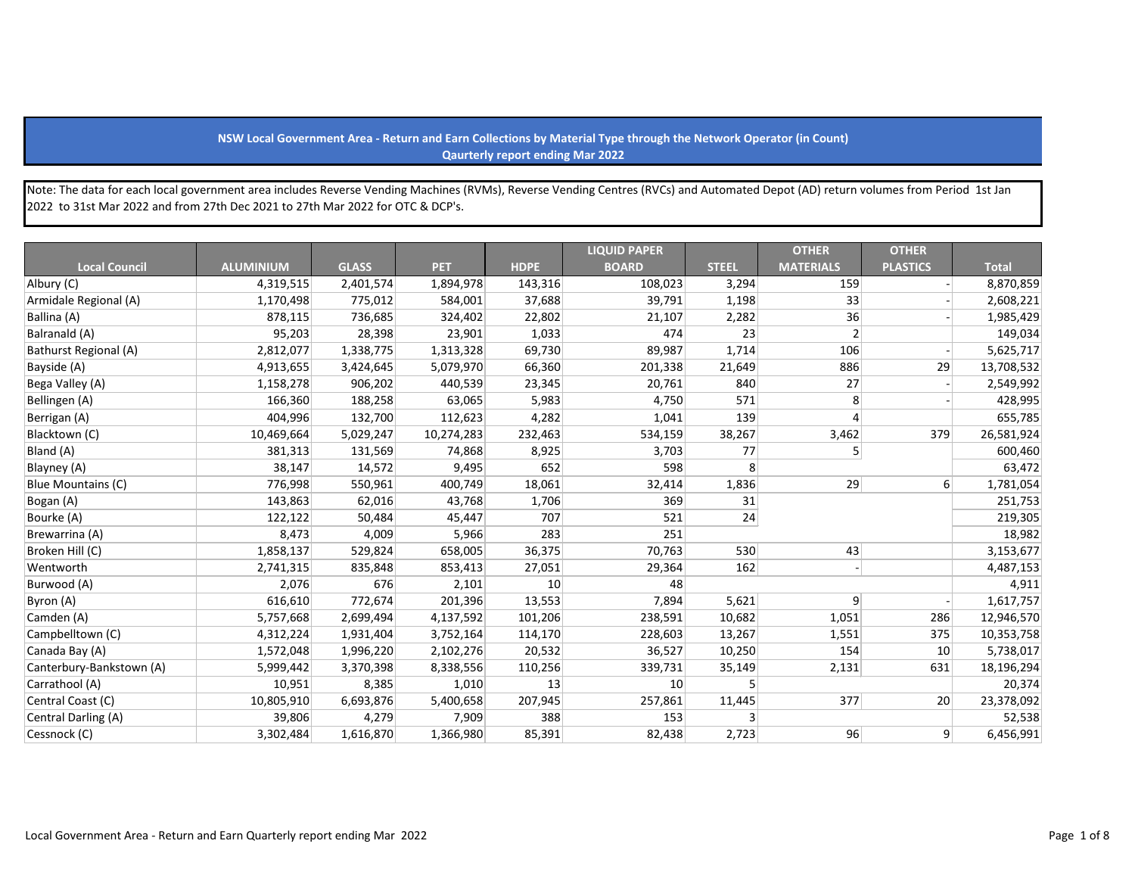## **NSW Local Government Area - Return and Earn Collections by Material Type through the Network Operator (in Count) Qaurterly report ending Mar 2022**

Note: The data for each local government area includes Reverse Vending Machines (RVMs), Reverse Vending Centres (RVCs) and Automated Depot (AD) return volumes from Period 1st Jan 2022 to 31st Mar 2022 and from 27th Dec 2021 to 27th Mar 2022 for OTC & DCP's.

|                          |                  |              |            |             | <b>LIQUID PAPER</b> |              | <b>OTHER</b>     | <b>OTHER</b>    |              |
|--------------------------|------------------|--------------|------------|-------------|---------------------|--------------|------------------|-----------------|--------------|
| <b>Local Council</b>     | <b>ALUMINIUM</b> | <b>GLASS</b> | <b>PET</b> | <b>HDPE</b> | <b>BOARD</b>        | <b>STEEL</b> | <b>MATERIALS</b> | <b>PLASTICS</b> | <b>Total</b> |
| Albury (C)               | 4,319,515        | 2,401,574    | 1,894,978  | 143,316     | 108,023             | 3,294        | 159              |                 | 8,870,859    |
| Armidale Regional (A)    | 1,170,498        | 775,012      | 584,001    | 37,688      | 39,791              | 1,198        | 33               |                 | 2,608,221    |
| Ballina (A)              | 878,115          | 736,685      | 324,402    | 22,802      | 21,107              | 2,282        | 36               |                 | 1,985,429    |
| Balranald (A)            | 95,203           | 28,398       | 23,901     | 1,033       | 474                 | 23           | 2                |                 | 149,034      |
| Bathurst Regional (A)    | 2,812,077        | 1,338,775    | 1,313,328  | 69,730      | 89,987              | 1,714        | 106              |                 | 5,625,717    |
| Bayside (A)              | 4,913,655        | 3,424,645    | 5,079,970  | 66,360      | 201,338             | 21,649       | 886              | 29              | 13,708,532   |
| Bega Valley (A)          | 1,158,278        | 906,202      | 440,539    | 23,345      | 20,761              | 840          | 27               |                 | 2,549,992    |
| Bellingen (A)            | 166,360          | 188,258      | 63,065     | 5,983       | 4,750               | 571          | 8                |                 | 428,995      |
| Berrigan (A)             | 404,996          | 132,700      | 112,623    | 4,282       | 1,041               | 139          |                  |                 | 655,785      |
| Blacktown (C)            | 10,469,664       | 5,029,247    | 10,274,283 | 232,463     | 534,159             | 38,267       | 3,462            | 379             | 26,581,924   |
| Bland (A)                | 381,313          | 131,569      | 74,868     | 8,925       | 3,703               | 77           |                  |                 | 600,460      |
| Blayney (A)              | 38,147           | 14,572       | 9,495      | 652         | 598                 | 8            |                  |                 | 63,472       |
| Blue Mountains (C)       | 776,998          | 550,961      | 400,749    | 18,061      | 32,414              | 1,836        | 29               | $6 \mid$        | 1,781,054    |
| Bogan (A)                | 143,863          | 62,016       | 43,768     | 1,706       | 369                 | 31           |                  |                 | 251,753      |
| Bourke (A)               | 122,122          | 50,484       | 45,447     | 707         | 521                 | 24           |                  |                 | 219,305      |
| Brewarrina (A)           | 8,473            | 4,009        | 5,966      | 283         | 251                 |              |                  |                 | 18,982       |
| Broken Hill (C)          | 1,858,137        | 529,824      | 658,005    | 36,375      | 70,763              | 530          | 43               |                 | 3,153,677    |
| Wentworth                | 2,741,315        | 835,848      | 853,413    | 27,051      | 29,364              | 162          |                  |                 | 4,487,153    |
| Burwood (A)              | 2,076            | 676          | 2,101      | 10          | 48                  |              |                  |                 | 4,911        |
| Byron (A)                | 616,610          | 772,674      | 201,396    | 13,553      | 7,894               | 5,621        | 9                |                 | 1,617,757    |
| Camden (A)               | 5,757,668        | 2,699,494    | 4,137,592  | 101,206     | 238,591             | 10,682       | 1,051            | 286             | 12,946,570   |
| Campbelltown (C)         | 4,312,224        | 1,931,404    | 3,752,164  | 114,170     | 228,603             | 13,267       | 1,551            | 375             | 10,353,758   |
| Canada Bay (A)           | 1,572,048        | 1,996,220    | 2,102,276  | 20,532      | 36,527              | 10,250       | 154              | 10              | 5,738,017    |
| Canterbury-Bankstown (A) | 5,999,442        | 3,370,398    | 8,338,556  | 110,256     | 339,731             | 35,149       | 2,131            | 631             | 18,196,294   |
| Carrathool (A)           | 10,951           | 8,385        | 1,010      | 13          | 10                  | 5            |                  |                 | 20,374       |
| Central Coast (C)        | 10,805,910       | 6,693,876    | 5,400,658  | 207,945     | 257,861             | 11,445       | 377              | 20              | 23,378,092   |
| Central Darling (A)      | 39,806           | 4,279        | 7,909      | 388         | 153                 | 3            |                  |                 | 52,538       |
| Cessnock (C)             | 3,302,484        | 1,616,870    | 1,366,980  | 85,391      | 82,438              | 2,723        | 96               | 9 <sup>°</sup>  | 6,456,991    |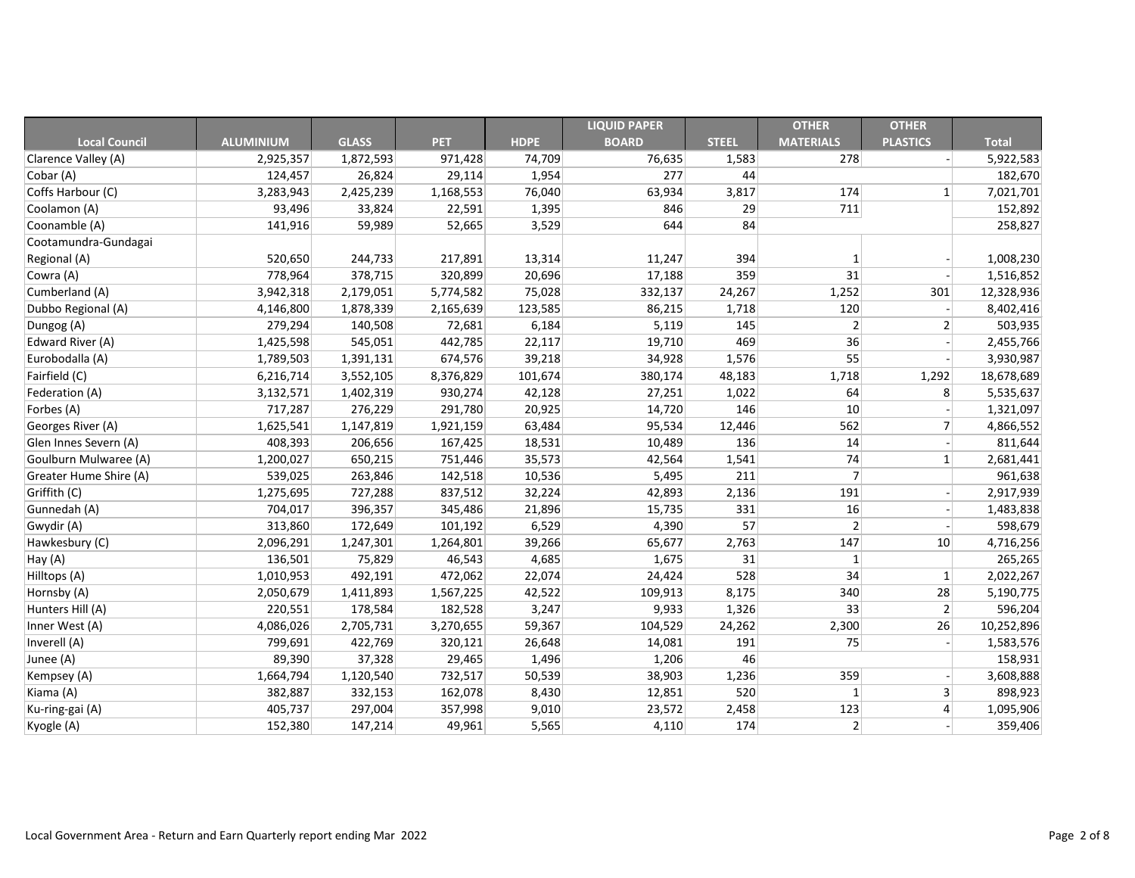|                        |                  |              |            |             | <b>LIQUID PAPER</b> |              | <b>OTHER</b>     | <b>OTHER</b>    |              |
|------------------------|------------------|--------------|------------|-------------|---------------------|--------------|------------------|-----------------|--------------|
| <b>Local Council</b>   | <b>ALUMINIUM</b> | <b>GLASS</b> | <b>PET</b> | <b>HDPE</b> | <b>BOARD</b>        | <b>STEEL</b> | <b>MATERIALS</b> | <b>PLASTICS</b> | <b>Total</b> |
| Clarence Valley (A)    | 2,925,357        | 1,872,593    | 971,428    | 74,709      | 76,635              | 1,583        | 278              |                 | 5,922,583    |
| Cobar (A)              | 124,457          | 26,824       | 29,114     | 1,954       | 277                 | 44           |                  |                 | 182,670      |
| Coffs Harbour (C)      | 3,283,943        | 2,425,239    | 1,168,553  | 76,040      | 63,934              | 3,817        | 174              | 1               | 7,021,701    |
| Coolamon (A)           | 93,496           | 33,824       | 22,591     | 1,395       | 846                 | 29           | 711              |                 | 152,892      |
| Coonamble (A)          | 141,916          | 59,989       | 52,665     | 3,529       | 644                 | 84           |                  |                 | 258,827      |
| Cootamundra-Gundagai   |                  |              |            |             |                     |              |                  |                 |              |
| Regional (A)           | 520,650          | 244,733      | 217,891    | 13,314      | 11,247              | 394          |                  |                 | 1,008,230    |
| Cowra (A)              | 778,964          | 378,715      | 320,899    | 20,696      | 17,188              | 359          | 31               |                 | 1,516,852    |
| Cumberland (A)         | 3,942,318        | 2,179,051    | 5,774,582  | 75,028      | 332,137             | 24,267       | 1,252            | 301             | 12,328,936   |
| Dubbo Regional (A)     | 4,146,800        | 1,878,339    | 2,165,639  | 123,585     | 86,215              | 1,718        | 120              |                 | 8,402,416    |
| Dungog (A)             | 279,294          | 140,508      | 72,681     | 6,184       | 5,119               | 145          | 2                | 2               | 503,935      |
| Edward River (A)       | 1,425,598        | 545,051      | 442,785    | 22,117      | 19,710              | 469          | 36               |                 | 2,455,766    |
| Eurobodalla (A)        | 1,789,503        | 1,391,131    | 674,576    | 39,218      | 34,928              | 1,576        | 55               |                 | 3,930,987    |
| Fairfield (C)          | 6,216,714        | 3,552,105    | 8,376,829  | 101,674     | 380,174             | 48,183       | 1,718            | 1,292           | 18,678,689   |
| Federation (A)         | 3,132,571        | 1,402,319    | 930,274    | 42,128      | 27,251              | 1,022        | 64               | 8               | 5,535,637    |
| Forbes (A)             | 717,287          | 276,229      | 291,780    | 20,925      | 14,720              | 146          | 10               |                 | 1,321,097    |
| Georges River (A)      | 1,625,541        | 1,147,819    | 1,921,159  | 63,484      | 95,534              | 12,446       | 562              | 7               | 4,866,552    |
| Glen Innes Severn (A)  | 408,393          | 206,656      | 167,425    | 18,531      | 10,489              | 136          | 14               |                 | 811,644      |
| Goulburn Mulwaree (A)  | 1,200,027        | 650,215      | 751,446    | 35,573      | 42,564              | 1,541        | 74               | $\mathbf{1}$    | 2,681,441    |
| Greater Hume Shire (A) | 539,025          | 263,846      | 142,518    | 10,536      | 5,495               | 211          |                  |                 | 961,638      |
| Griffith (C)           | 1,275,695        | 727,288      | 837,512    | 32,224      | 42,893              | 2,136        | 191              |                 | 2,917,939    |
| Gunnedah (A)           | 704,017          | 396,357      | 345,486    | 21,896      | 15,735              | 331          | 16               |                 | 1,483,838    |
| Gwydir (A)             | 313,860          | 172,649      | 101,192    | 6,529       | 4,390               | 57           | 2                |                 | 598,679      |
| Hawkesbury (C)         | 2,096,291        | 1,247,301    | 1,264,801  | 39,266      | 65,677              | 2,763        | 147              | 10              | 4,716,256    |
| Hay (A)                | 136,501          | 75,829       | 46,543     | 4,685       | 1,675               | 31           |                  |                 | 265,265      |
| Hilltops (A)           | 1,010,953        | 492,191      | 472,062    | 22,074      | 24,424              | 528          | 34               | $\vert$ 1       | 2,022,267    |
| Hornsby (A)            | 2,050,679        | 1,411,893    | 1,567,225  | 42,522      | 109,913             | 8,175        | 340              | 28              | 5,190,775    |
| Hunters Hill (A)       | 220,551          | 178,584      | 182,528    | 3,247       | 9,933               | 1,326        | 33               | $\overline{2}$  | 596,204      |
| Inner West (A)         | 4,086,026        | 2,705,731    | 3,270,655  | 59,367      | 104,529             | 24,262       | 2,300            | 26              | 10,252,896   |
| Inverell (A)           | 799,691          | 422,769      | 320,121    | 26,648      | 14,081              | 191          | 75               |                 | 1,583,576    |
| Junee (A)              | 89,390           | 37,328       | 29,465     | 1,496       | 1,206               | 46           |                  |                 | 158,931      |
| Kempsey (A)            | 1,664,794        | 1,120,540    | 732,517    | 50,539      | 38,903              | 1,236        | 359              |                 | 3,608,888    |
| Kiama (A)              | 382,887          | 332,153      | 162,078    | 8,430       | 12,851              | 520          | $\mathbf{1}$     | $\overline{3}$  | 898,923      |
| Ku-ring-gai (A)        | 405,737          | 297,004      | 357,998    | 9,010       | 23,572              | 2,458        | 123              | $\vert 4 \vert$ | 1,095,906    |
| Kyogle (A)             | 152,380          | 147,214      | 49,961     | 5,565       | 4,110               | 174          | $\overline{2}$   |                 | 359,406      |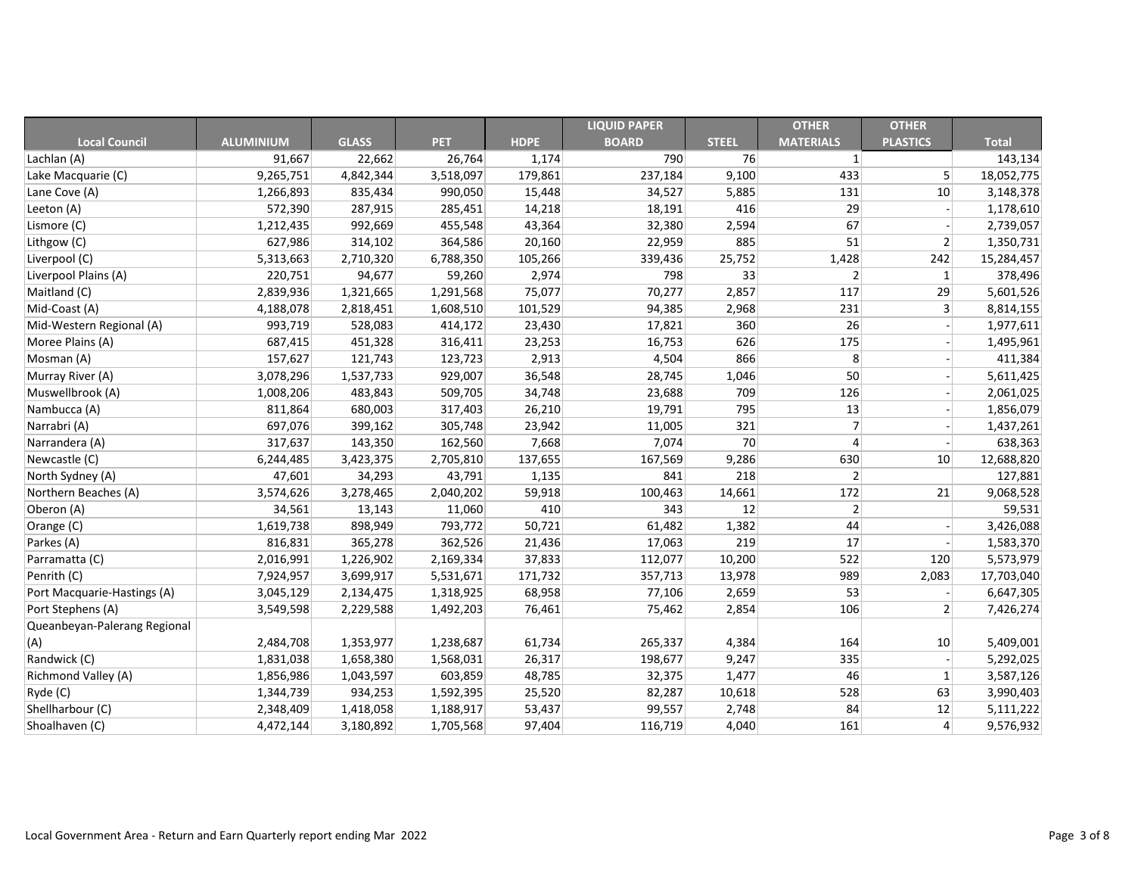|                              |                  |              |            |             | <b>LIQUID PAPER</b> |              | <b>OTHER</b>     | <b>OTHER</b>    |              |
|------------------------------|------------------|--------------|------------|-------------|---------------------|--------------|------------------|-----------------|--------------|
| <b>Local Council</b>         | <b>ALUMINIUM</b> | <b>GLASS</b> | <b>PET</b> | <b>HDPE</b> | <b>BOARD</b>        | <b>STEEL</b> | <b>MATERIALS</b> | <b>PLASTICS</b> | <b>Total</b> |
| Lachlan (A)                  | 91,667           | 22,662       | 26,764     | 1,174       | 790                 | 76           |                  |                 | 143,134      |
| Lake Macquarie (C)           | 9,265,751        | 4,842,344    | 3,518,097  | 179,861     | 237,184             | 9,100        | 433              | $\mathsf{5}$    | 18,052,775   |
| Lane Cove (A)                | 1,266,893        | 835,434      | 990,050    | 15,448      | 34,527              | 5,885        | 131              | 10              | 3,148,378    |
| Leeton (A)                   | 572,390          | 287,915      | 285,451    | 14,218      | 18,191              | 416          | 29               |                 | 1,178,610    |
| Lismore (C)                  | 1,212,435        | 992,669      | 455,548    | 43,364      | 32,380              | 2,594        | 67               |                 | 2,739,057    |
| Lithgow (C)                  | 627,986          | 314,102      | 364,586    | 20,160      | 22,959              | 885          | 51               | $\overline{2}$  | 1,350,731    |
| Liverpool (C)                | 5,313,663        | 2,710,320    | 6,788,350  | 105,266     | 339,436             | 25,752       | 1,428            | 242             | 15,284,457   |
| Liverpool Plains (A)         | 220,751          | 94,677       | 59,260     | 2,974       | 798                 | 33           |                  | 1               | 378,496      |
| Maitland (C)                 | 2,839,936        | 1,321,665    | 1,291,568  | 75,077      | 70,277              | 2,857        | 117              | 29              | 5,601,526    |
| Mid-Coast (A)                | 4,188,078        | 2,818,451    | 1,608,510  | 101,529     | 94,385              | 2,968        | 231              | $\mathbf{3}$    | 8,814,155    |
| Mid-Western Regional (A)     | 993,719          | 528,083      | 414,172    | 23,430      | 17,821              | 360          | 26               |                 | 1,977,611    |
| Moree Plains (A)             | 687,415          | 451,328      | 316,411    | 23,253      | 16,753              | 626          | 175              |                 | 1,495,961    |
| Mosman (A)                   | 157,627          | 121,743      | 123,723    | 2,913       | 4,504               | 866          | 8                |                 | 411,384      |
| Murray River (A)             | 3,078,296        | 1,537,733    | 929,007    | 36,548      | 28,745              | 1,046        | 50               |                 | 5,611,425    |
| Muswellbrook (A)             | 1,008,206        | 483,843      | 509,705    | 34,748      | 23,688              | 709          | 126              |                 | 2,061,025    |
| Nambucca (A)                 | 811,864          | 680,003      | 317,403    | 26,210      | 19,791              | 795          | 13               |                 | 1,856,079    |
| Narrabri (A)                 | 697,076          | 399,162      | 305,748    | 23,942      | 11,005              | 321          |                  |                 | 1,437,261    |
| Narrandera (A)               | 317,637          | 143,350      | 162,560    | 7,668       | 7,074               | 70           |                  |                 | 638,363      |
| Newcastle (C)                | 6,244,485        | 3,423,375    | 2,705,810  | 137,655     | 167,569             | 9,286        | 630              | 10              | 12,688,820   |
| North Sydney (A)             | 47,601           | 34,293       | 43,791     | 1,135       | 841                 | 218          | 2                |                 | 127,881      |
| Northern Beaches (A)         | 3,574,626        | 3,278,465    | 2,040,202  | 59,918      | 100,463             | 14,661       | 172              | 21              | 9,068,528    |
| Oberon (A)                   | 34,561           | 13,143       | 11,060     | 410         | 343                 | 12           | 2                |                 | 59,531       |
| Orange (C)                   | 1,619,738        | 898,949      | 793,772    | 50,721      | 61,482              | 1,382        | 44               |                 | 3,426,088    |
| Parkes (A)                   | 816,831          | 365,278      | 362,526    | 21,436      | 17,063              | 219          | 17               |                 | 1,583,370    |
| Parramatta (C)               | 2,016,991        | 1,226,902    | 2,169,334  | 37,833      | 112,077             | 10,200       | 522              | 120             | 5,573,979    |
| Penrith (C)                  | 7,924,957        | 3,699,917    | 5,531,671  | 171,732     | 357,713             | 13,978       | 989              | 2,083           | 17,703,040   |
| Port Macquarie-Hastings (A)  | 3,045,129        | 2,134,475    | 1,318,925  | 68,958      | 77,106              | 2,659        | 53               |                 | 6,647,305    |
| Port Stephens (A)            | 3,549,598        | 2,229,588    | 1,492,203  | 76,461      | 75,462              | 2,854        | 106              | 2               | 7,426,274    |
| Queanbeyan-Palerang Regional |                  |              |            |             |                     |              |                  |                 |              |
| (A)                          | 2,484,708        | 1,353,977    | 1,238,687  | 61,734      | 265,337             | 4,384        | 164              | 10              | 5,409,001    |
| Randwick (C)                 | 1,831,038        | 1,658,380    | 1,568,031  | 26,317      | 198,677             | 9,247        | 335              |                 | 5,292,025    |
| <b>Richmond Valley (A)</b>   | 1,856,986        | 1,043,597    | 603,859    | 48,785      | 32,375              | 1,477        | 46               | $\mathbf{1}$    | 3,587,126    |
| Ryde (C)                     | 1,344,739        | 934,253      | 1,592,395  | 25,520      | 82,287              | 10,618       | 528              | 63              | 3,990,403    |
| Shellharbour (C)             | 2,348,409        | 1,418,058    | 1,188,917  | 53,437      | 99,557              | 2,748        | 84               | 12              | 5,111,222    |
| Shoalhaven (C)               | 4,472,144        | 3,180,892    | 1,705,568  | 97,404      | 116,719             | 4,040        | 161              | $\vert 4 \vert$ | 9,576,932    |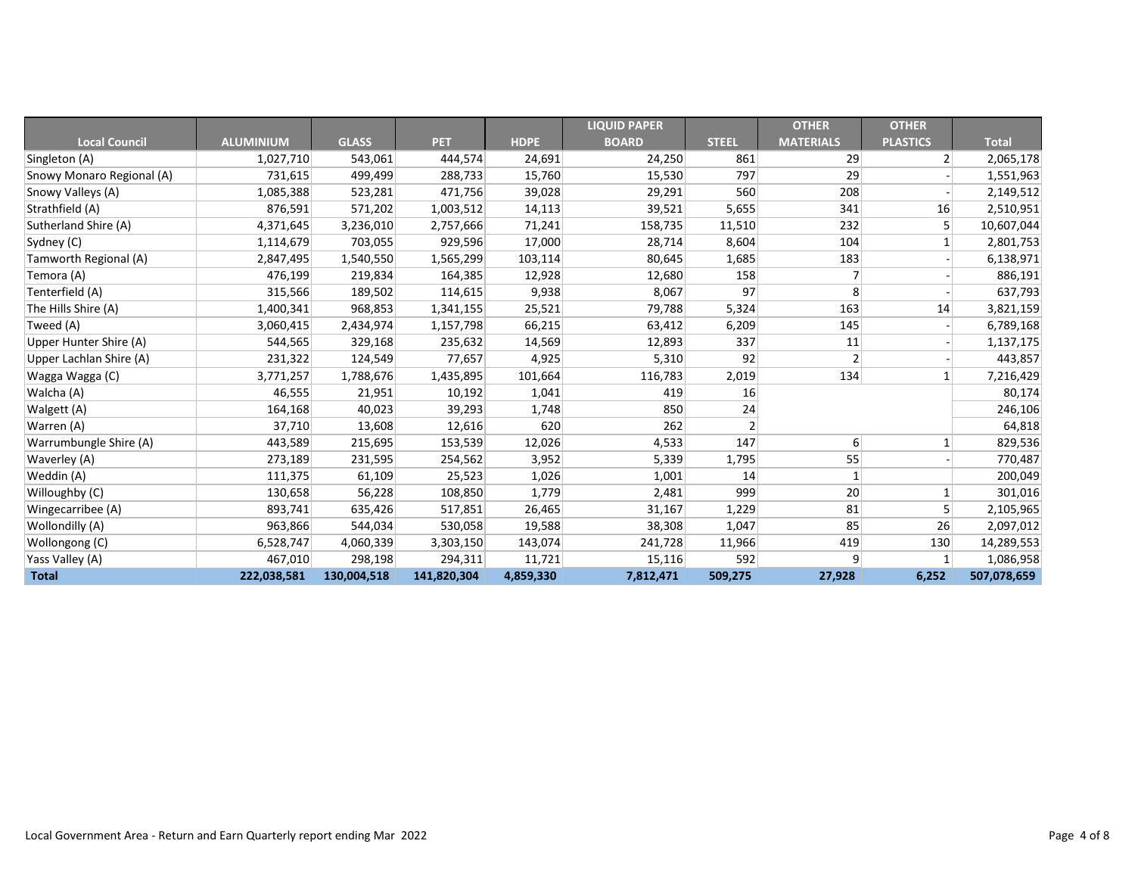|                           |                  |              |             |             | <b>LIQUID PAPER</b> |              | <b>OTHER</b>     | <b>OTHER</b>    |              |
|---------------------------|------------------|--------------|-------------|-------------|---------------------|--------------|------------------|-----------------|--------------|
| <b>Local Council</b>      | <b>ALUMINIUM</b> | <b>GLASS</b> | <b>PET</b>  | <b>HDPE</b> | <b>BOARD</b>        | <b>STEEL</b> | <b>MATERIALS</b> | <b>PLASTICS</b> | <b>Total</b> |
| Singleton (A)             | 1,027,710        | 543,061      | 444,574     | 24,691      | 24,250              | 861          | 29               | $\overline{2}$  | 2,065,178    |
| Snowy Monaro Regional (A) | 731,615          | 499,499      | 288,733     | 15,760      | 15,530              | 797          | 29               |                 | 1,551,963    |
| Snowy Valleys (A)         | 1,085,388        | 523,281      | 471,756     | 39,028      | 29,291              | 560          | 208              |                 | 2,149,512    |
| Strathfield (A)           | 876,591          | 571,202      | 1,003,512   | 14,113      | 39,521              | 5,655        | 341              | 16              | 2,510,951    |
| Sutherland Shire (A)      | 4,371,645        | 3,236,010    | 2,757,666   | 71,241      | 158,735             | 11,510       | 232              | 5               | 10,607,044   |
| Sydney (C)                | 1,114,679        | 703,055      | 929,596     | 17,000      | 28,714              | 8,604        | 104              |                 | 2,801,753    |
| Tamworth Regional (A)     | 2,847,495        | 1,540,550    | 1,565,299   | 103,114     | 80,645              | 1,685        | 183              |                 | 6,138,971    |
| Temora (A)                | 476,199          | 219,834      | 164,385     | 12,928      | 12,680              | 158          |                  |                 | 886,191      |
| Tenterfield (A)           | 315,566          | 189,502      | 114,615     | 9,938       | 8,067               | 97           | 8 <sup>1</sup>   |                 | 637,793      |
| The Hills Shire (A)       | 1,400,341        | 968,853      | 1,341,155   | 25,521      | 79,788              | 5,324        | 163              | 14              | 3,821,159    |
| Tweed (A)                 | 3,060,415        | 2,434,974    | 1,157,798   | 66,215      | 63,412              | 6,209        | 145              |                 | 6,789,168    |
| Upper Hunter Shire (A)    | 544,565          | 329,168      | 235,632     | 14,569      | 12,893              | 337          | 11               |                 | 1,137,175    |
| Upper Lachlan Shire (A)   | 231,322          | 124,549      | 77,657      | 4,925       | 5,310               | 92           | $\overline{2}$   |                 | 443,857      |
| Wagga Wagga (C)           | 3,771,257        | 1,788,676    | 1,435,895   | 101,664     | 116,783             | 2,019        | 134              |                 | 7,216,429    |
| Walcha (A)                | 46,555           | 21,951       | 10,192      | 1,041       | 419                 | 16           |                  |                 | 80,174       |
| Walgett (A)               | 164,168          | 40,023       | 39,293      | 1,748       | 850                 | 24           |                  |                 | 246,106      |
| Warren (A)                | 37,710           | 13,608       | 12,616      | 620         | 262                 |              |                  |                 | 64,818       |
| Warrumbungle Shire (A)    | 443,589          | 215,695      | 153,539     | 12,026      | 4,533               | 147          | 6                | 1               | 829,536      |
| <b>Waverley (A)</b>       | 273,189          | 231,595      | 254,562     | 3,952       | 5,339               | 1,795        | 55               |                 | 770,487      |
| Weddin (A)                | 111,375          | 61,109       | 25,523      | 1,026       | 1,001               | 14           |                  |                 | 200,049      |
| Willoughby (C)            | 130,658          | 56,228       | 108,850     | 1,779       | 2,481               | 999          | 20               |                 | 301,016      |
| Wingecarribee (A)         | 893,741          | 635,426      | 517,851     | 26,465      | 31,167              | 1,229        | 81               | 5               | 2,105,965    |
| Wollondilly (A)           | 963,866          | 544,034      | 530,058     | 19,588      | 38,308              | 1,047        | 85               | 26              | 2,097,012    |
| Wollongong (C)            | 6,528,747        | 4,060,339    | 3,303,150   | 143,074     | 241,728             | 11,966       | 419              | 130             | 14,289,553   |
| Yass Valley (A)           | 467,010          | 298,198      | 294,311     | 11,721      | 15,116              | 592          | 9                | $\mathbf{1}$    | 1,086,958    |
| <b>Total</b>              | 222,038,581      | 130,004,518  | 141,820,304 | 4,859,330   | 7,812,471           | 509,275      | 27,928           | 6,252           | 507,078,659  |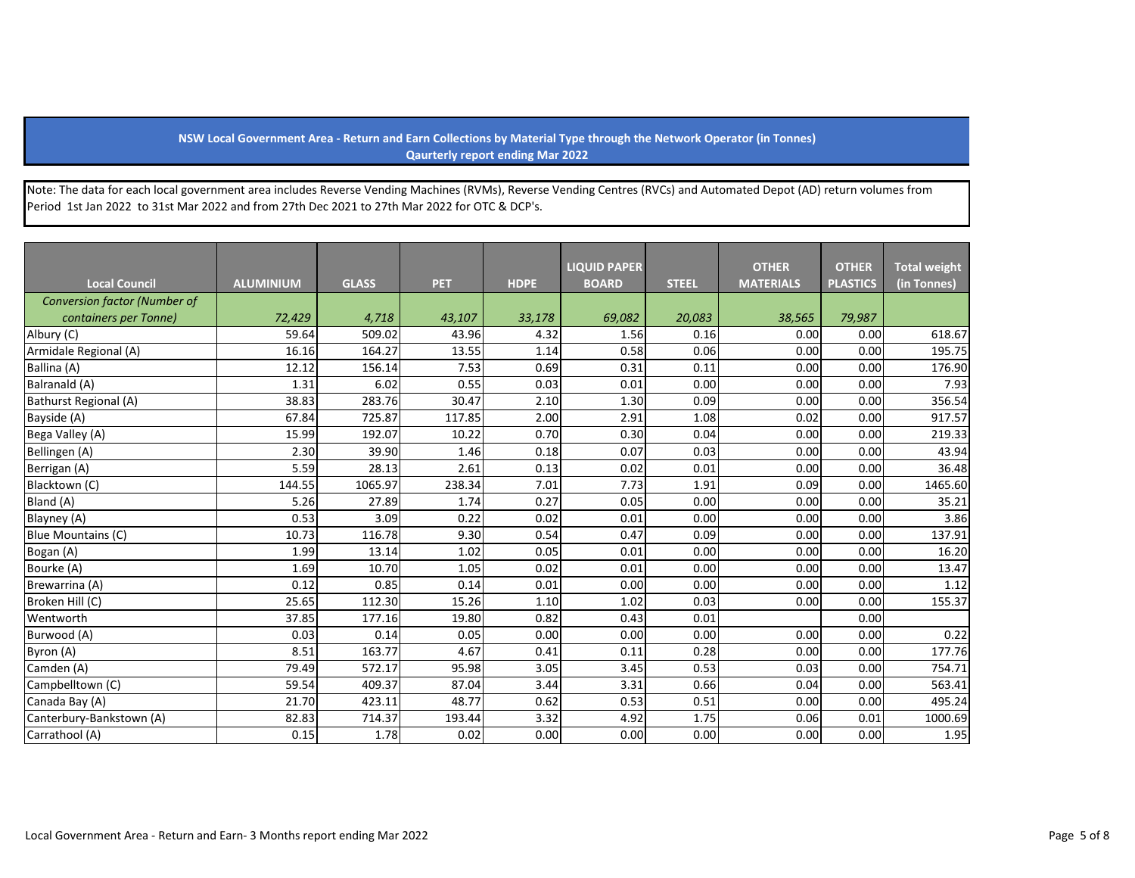## **NSW Local Government Area - Return and Earn Collections by Material Type through the Network Operator (in Tonnes) Qaurterly report ending Mar 2022**

Note: The data for each local government area includes Reverse Vending Machines (RVMs), Reverse Vending Centres (RVCs) and Automated Depot (AD) return volumes from Period 1st Jan 2022 to 31st Mar 2022 and from 27th Dec 2021 to 27th Mar 2022 for OTC & DCP's.

|                                     |                  |              |            |             | <b>LIQUID PAPER</b> |              | <b>OTHER</b>     | <b>OTHER</b>    | <b>Total weight</b> |
|-------------------------------------|------------------|--------------|------------|-------------|---------------------|--------------|------------------|-----------------|---------------------|
| <b>Local Council</b>                | <b>ALUMINIUM</b> | <b>GLASS</b> | <b>PET</b> | <b>HDPE</b> | <b>BOARD</b>        | <b>STEEL</b> | <b>MATERIALS</b> | <b>PLASTICS</b> | (in Tonnes)         |
| <b>Conversion factor (Number of</b> |                  |              |            |             |                     |              |                  |                 |                     |
| containers per Tonne)               | 72,429           | 4,718        | 43,107     | 33,178      | 69,082              | 20,083       | 38,565           | 79,987          |                     |
| Albury (C)                          | 59.64            | 509.02       | 43.96      | 4.32        | 1.56                | 0.16         | 0.00             | 0.00            | 618.67              |
| Armidale Regional (A)               | 16.16            | 164.27       | 13.55      | 1.14        | 0.58                | 0.06         | 0.00             | 0.00            | 195.75              |
| Ballina (A)                         | 12.12            | 156.14       | 7.53       | 0.69        | 0.31                | 0.11         | 0.00             | 0.00            | 176.90              |
| Balranald (A)                       | 1.31             | 6.02         | 0.55       | 0.03        | 0.01                | 0.00         | 0.00             | 0.00            | 7.93                |
| Bathurst Regional (A)               | 38.83            | 283.76       | 30.47      | 2.10        | 1.30                | 0.09         | 0.00             | 0.00            | 356.54              |
| Bayside (A)                         | 67.84            | 725.87       | 117.85     | 2.00        | 2.91                | 1.08         | 0.02             | 0.00            | 917.57              |
| Bega Valley (A)                     | 15.99            | 192.07       | 10.22      | 0.70        | 0.30                | 0.04         | 0.00             | 0.00            | 219.33              |
| Bellingen (A)                       | 2.30             | 39.90        | 1.46       | 0.18        | 0.07                | 0.03         | 0.00             | 0.00            | 43.94               |
| Berrigan (A)                        | 5.59             | 28.13        | 2.61       | 0.13        | 0.02                | 0.01         | 0.00             | 0.00            | 36.48               |
| Blacktown (C)                       | 144.55           | 1065.97      | 238.34     | 7.01        | 7.73                | 1.91         | 0.09             | 0.00            | 1465.60             |
| Bland (A)                           | 5.26             | 27.89        | 1.74       | 0.27        | 0.05                | 0.00         | 0.00             | 0.00            | 35.21               |
| Blayney (A)                         | 0.53             | 3.09         | 0.22       | 0.02        | 0.01                | 0.00         | 0.00             | 0.00            | 3.86                |
| Blue Mountains (C)                  | 10.73            | 116.78       | 9.30       | 0.54        | 0.47                | 0.09         | 0.00             | 0.00            | 137.91              |
| Bogan (A)                           | 1.99             | 13.14        | 1.02       | 0.05        | 0.01                | 0.00         | 0.00             | 0.00            | 16.20               |
| Bourke (A)                          | 1.69             | 10.70        | 1.05       | 0.02        | 0.01                | 0.00         | 0.00             | 0.00            | 13.47               |
| Brewarrina (A)                      | 0.12             | 0.85         | 0.14       | 0.01        | 0.00                | 0.00         | 0.00             | 0.00            | 1.12                |
| Broken Hill (C)                     | 25.65            | 112.30       | 15.26      | 1.10        | 1.02                | 0.03         | 0.00             | 0.00            | 155.37              |
| Wentworth                           | 37.85            | 177.16       | 19.80      | 0.82        | 0.43                | 0.01         |                  | 0.00            |                     |
| Burwood (A)                         | 0.03             | 0.14         | 0.05       | 0.00        | 0.00                | 0.00         | 0.00             | 0.00            | 0.22                |
| Byron (A)                           | 8.51             | 163.77       | 4.67       | 0.41        | 0.11                | 0.28         | 0.00             | 0.00            | 177.76              |
| Camden (A)                          | 79.49            | 572.17       | 95.98      | 3.05        | 3.45                | 0.53         | 0.03             | 0.00            | 754.71              |
| Campbelltown (C)                    | 59.54            | 409.37       | 87.04      | 3.44        | 3.31                | 0.66         | 0.04             | 0.00            | 563.41              |
| Canada Bay (A)                      | 21.70            | 423.11       | 48.77      | 0.62        | 0.53                | 0.51         | 0.00             | 0.00            | 495.24              |
| Canterbury-Bankstown (A)            | 82.83            | 714.37       | 193.44     | 3.32        | 4.92                | 1.75         | 0.06             | 0.01            | 1000.69             |
| Carrathool (A)                      | 0.15             | 1.78         | 0.02       | 0.00        | 0.00                | 0.00         | 0.00             | 0.00            | 1.95                |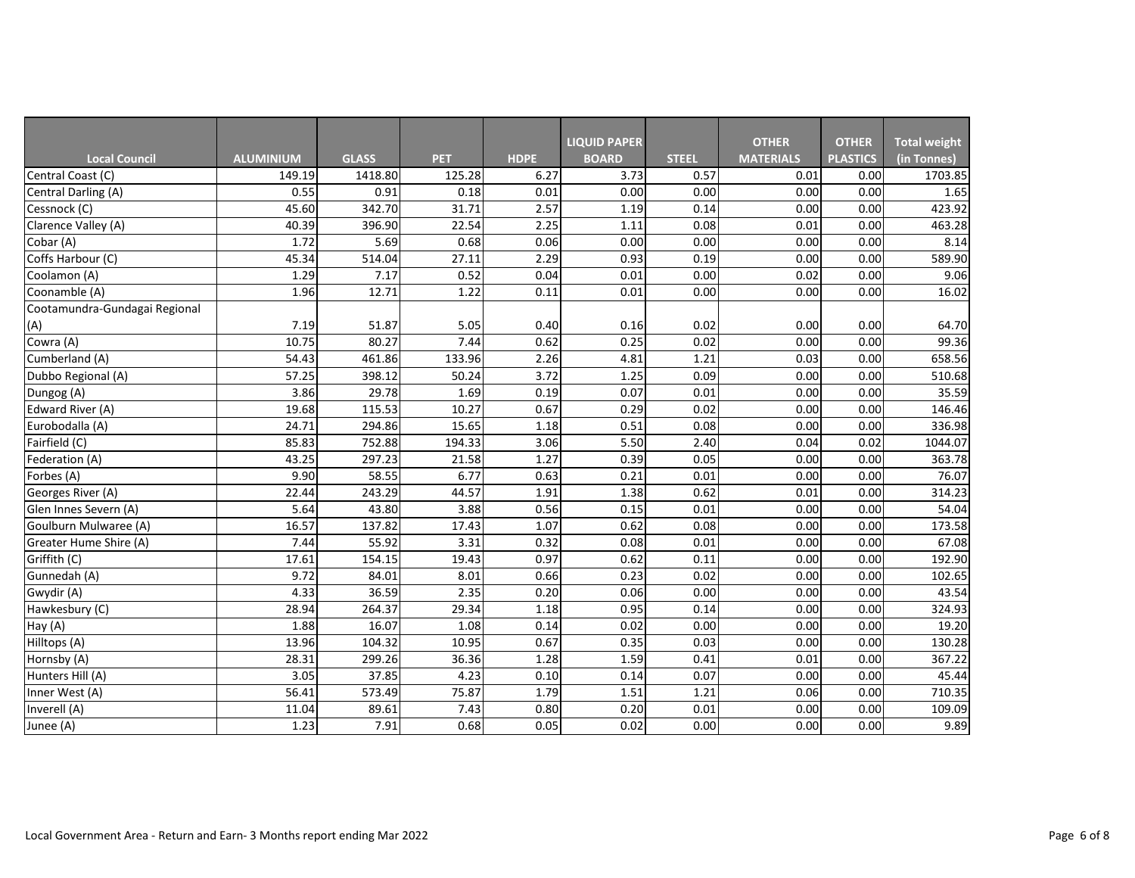|                               |                  |              |            |             | <b>LIQUID PAPER</b> |              | <b>OTHER</b>     | <b>OTHER</b>    | <b>Total weight</b> |
|-------------------------------|------------------|--------------|------------|-------------|---------------------|--------------|------------------|-----------------|---------------------|
| <b>Local Council</b>          | <b>ALUMINIUM</b> | <b>GLASS</b> | <b>PET</b> | <b>HDPE</b> | <b>BOARD</b>        | <b>STEEL</b> | <b>MATERIALS</b> | <b>PLASTICS</b> | (in Tonnes)         |
| Central Coast (C)             | 149.19           | 1418.80      | 125.28     | 6.27        | 3.73                | 0.57         | 0.01             | 0.00            | 1703.85             |
| Central Darling (A)           | 0.55             | 0.91         | 0.18       | 0.01        | 0.00                | 0.00         | 0.00             | 0.00            | 1.65                |
| Cessnock (C)                  | 45.60            | 342.70       | 31.71      | 2.57        | 1.19                | 0.14         | 0.00             | 0.00            | 423.92              |
| Clarence Valley (A)           | 40.39            | 396.90       | 22.54      | 2.25        | 1.11                | 0.08         | 0.01             | 0.00            | 463.28              |
| Cobar (A)                     | 1.72             | 5.69         | 0.68       | 0.06        | 0.00                | 0.00         | 0.00             | 0.00            | 8.14                |
| Coffs Harbour (C)             | 45.34            | 514.04       | 27.11      | 2.29        | 0.93                | 0.19         | 0.00             | 0.00            | 589.90              |
| Coolamon (A)                  | 1.29             | 7.17         | 0.52       | 0.04        | 0.01                | 0.00         | 0.02             | 0.00            | 9.06                |
| Coonamble (A)                 | 1.96             | 12.71        | 1.22       | 0.11        | 0.01                | 0.00         | 0.00             | 0.00            | 16.02               |
| Cootamundra-Gundagai Regional |                  |              |            |             |                     |              |                  |                 |                     |
| (A)                           | 7.19             | 51.87        | 5.05       | 0.40        | 0.16                | 0.02         | 0.00             | 0.00            | 64.70               |
| Cowra (A)                     | 10.75            | 80.27        | 7.44       | 0.62        | 0.25                | 0.02         | 0.00             | 0.00            | 99.36               |
| Cumberland (A)                | 54.43            | 461.86       | 133.96     | 2.26        | 4.81                | 1.21         | 0.03             | 0.00            | 658.56              |
| Dubbo Regional (A)            | 57.25            | 398.12       | 50.24      | 3.72        | 1.25                | 0.09         | 0.00             | 0.00            | 510.68              |
| Dungog (A)                    | 3.86             | 29.78        | 1.69       | 0.19        | 0.07                | 0.01         | 0.00             | 0.00            | 35.59               |
| Edward River (A)              | 19.68            | 115.53       | 10.27      | 0.67        | 0.29                | 0.02         | 0.00             | 0.00            | 146.46              |
| Eurobodalla (A)               | 24.71            | 294.86       | 15.65      | 1.18        | 0.51                | 0.08         | 0.00             | 0.00            | 336.98              |
| Fairfield (C)                 | 85.83            | 752.88       | 194.33     | 3.06        | 5.50                | 2.40         | 0.04             | 0.02            | 1044.07             |
| Federation (A)                | 43.25            | 297.23       | 21.58      | 1.27        | 0.39                | 0.05         | 0.00             | 0.00            | 363.78              |
| Forbes (A)                    | 9.90             | 58.55        | 6.77       | 0.63        | 0.21                | 0.01         | 0.00             | 0.00            | 76.07               |
| Georges River (A)             | 22.44            | 243.29       | 44.57      | 1.91        | 1.38                | 0.62         | 0.01             | 0.00            | 314.23              |
| Glen Innes Severn (A)         | 5.64             | 43.80        | 3.88       | 0.56        | 0.15                | 0.01         | 0.00             | 0.00            | 54.04               |
| Goulburn Mulwaree (A)         | 16.57            | 137.82       | 17.43      | 1.07        | 0.62                | 0.08         | 0.00             | 0.00            | 173.58              |
| Greater Hume Shire (A)        | 7.44             | 55.92        | 3.31       | 0.32        | 0.08                | 0.01         | 0.00             | 0.00            | 67.08               |
| Griffith (C)                  | 17.61            | 154.15       | 19.43      | 0.97        | 0.62                | 0.11         | 0.00             | 0.00            | 192.90              |
| Gunnedah (A)                  | 9.72             | 84.01        | 8.01       | 0.66        | 0.23                | 0.02         | 0.00             | 0.00            | 102.65              |
| Gwydir (A)                    | 4.33             | 36.59        | 2.35       | 0.20        | 0.06                | 0.00         | 0.00             | 0.00            | 43.54               |
| Hawkesbury (C)                | 28.94            | 264.37       | 29.34      | 1.18        | 0.95                | 0.14         | 0.00             | 0.00            | 324.93              |
| $\overline{H}$ ay (A)         | 1.88             | 16.07        | 1.08       | 0.14        | 0.02                | 0.00         | 0.00             | 0.00            | 19.20               |
| Hilltops (A)                  | 13.96            | 104.32       | 10.95      | 0.67        | 0.35                | 0.03         | 0.00             | 0.00            | 130.28              |
| Hornsby (A)                   | 28.31            | 299.26       | 36.36      | 1.28        | 1.59                | 0.41         | 0.01             | 0.00            | 367.22              |
| Hunters Hill (A)              | 3.05             | 37.85        | 4.23       | 0.10        | 0.14                | 0.07         | 0.00             | 0.00            | 45.44               |
| Inner West (A)                | 56.41            | 573.49       | 75.87      | 1.79        | 1.51                | 1.21         | 0.06             | 0.00            | 710.35              |
| Inverell (A)                  | 11.04            | 89.61        | 7.43       | 0.80        | 0.20                | 0.01         | 0.00             | 0.00            | 109.09              |
| Junee (A)                     | 1.23             | 7.91         | 0.68       | 0.05        | 0.02                | 0.00         | 0.00             | 0.00            | 9.89                |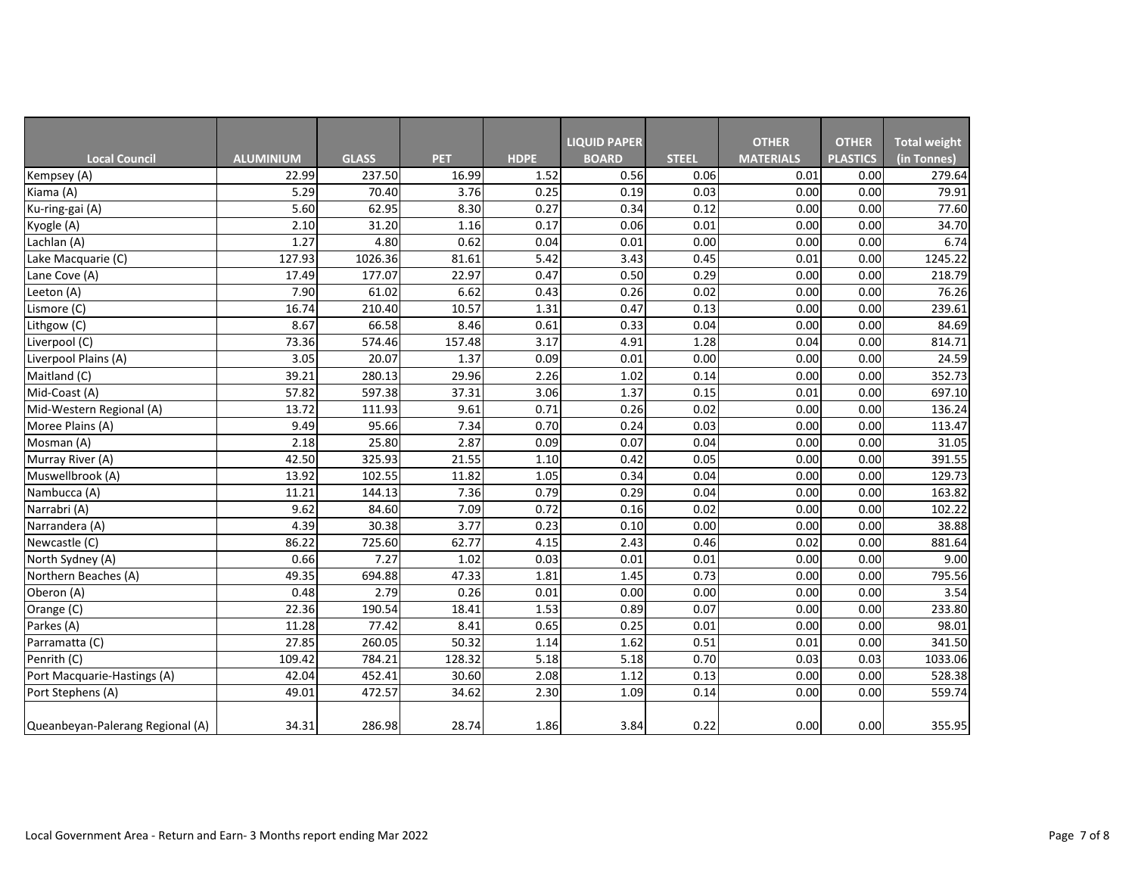|                                  |                  |              |            |             | <b>LIQUID PAPER</b> |              | <b>OTHER</b>     | <b>OTHER</b>    | <b>Total weight</b> |
|----------------------------------|------------------|--------------|------------|-------------|---------------------|--------------|------------------|-----------------|---------------------|
| <b>Local Council</b>             | <b>ALUMINIUM</b> | <b>GLASS</b> | <b>PET</b> | <b>HDPE</b> | <b>BOARD</b>        | <b>STEEL</b> | <b>MATERIALS</b> | <b>PLASTICS</b> | (in Tonnes)         |
| Kempsey (A)                      | 22.99            | 237.50       | 16.99      | 1.52        | 0.56                | 0.06         | 0.01             | 0.00            | 279.64              |
| Kiama (A)                        | 5.29             | 70.40        | 3.76       | 0.25        | 0.19                | 0.03         | 0.00             | 0.00            | 79.91               |
| Ku-ring-gai (A)                  | 5.60             | 62.95        | 8.30       | 0.27        | 0.34                | 0.12         | 0.00             | 0.00            | 77.60               |
| Kyogle (A)                       | 2.10             | 31.20        | 1.16       | 0.17        | 0.06                | 0.01         | 0.00             | 0.00            | 34.70               |
| Lachlan (A)                      | 1.27             | 4.80         | 0.62       | 0.04        | 0.01                | 0.00         | 0.00             | 0.00            | 6.74                |
| Lake Macquarie (C)               | 127.93           | 1026.36      | 81.61      | 5.42        | 3.43                | 0.45         | 0.01             | 0.00            | 1245.22             |
| Lane Cove (A)                    | 17.49            | 177.07       | 22.97      | 0.47        | 0.50                | 0.29         | 0.00             | 0.00            | 218.79              |
| Leeton (A)                       | 7.90             | 61.02        | 6.62       | 0.43        | 0.26                | 0.02         | 0.00             | 0.00            | 76.26               |
| Lismore (C)                      | 16.74            | 210.40       | 10.57      | 1.31        | 0.47                | 0.13         | 0.00             | 0.00            | 239.61              |
| Lithgow (C)                      | 8.67             | 66.58        | 8.46       | 0.61        | 0.33                | 0.04         | 0.00             | 0.00            | 84.69               |
| Liverpool (C)                    | 73.36            | 574.46       | 157.48     | 3.17        | 4.91                | 1.28         | 0.04             | 0.00            | 814.71              |
| Liverpool Plains (A)             | 3.05             | 20.07        | 1.37       | 0.09        | 0.01                | 0.00         | 0.00             | 0.00            | 24.59               |
| Maitland (C)                     | 39.21            | 280.13       | 29.96      | 2.26        | 1.02                | 0.14         | 0.00             | 0.00            | 352.73              |
| Mid-Coast (A)                    | 57.82            | 597.38       | 37.31      | 3.06        | 1.37                | 0.15         | 0.01             | 0.00            | 697.10              |
| Mid-Western Regional (A)         | 13.72            | 111.93       | 9.61       | 0.71        | 0.26                | 0.02         | 0.00             | 0.00            | 136.24              |
| Moree Plains (A)                 | 9.49             | 95.66        | 7.34       | 0.70        | 0.24                | 0.03         | 0.00             | 0.00            | 113.47              |
| Mosman (A)                       | 2.18             | 25.80        | 2.87       | 0.09        | 0.07                | 0.04         | 0.00             | 0.00            | 31.05               |
| Murray River (A)                 | 42.50            | 325.93       | 21.55      | 1.10        | 0.42                | 0.05         | 0.00             | 0.00            | 391.55              |
| Muswellbrook (A)                 | 13.92            | 102.55       | 11.82      | 1.05        | 0.34                | 0.04         | 0.00             | 0.00            | 129.73              |
| Nambucca (A)                     | 11.21            | 144.13       | 7.36       | 0.79        | 0.29                | 0.04         | 0.00             | 0.00            | 163.82              |
| Narrabri (A)                     | 9.62             | 84.60        | 7.09       | 0.72        | 0.16                | 0.02         | 0.00             | 0.00            | 102.22              |
| Narrandera (A)                   | 4.39             | 30.38        | 3.77       | 0.23        | 0.10                | 0.00         | 0.00             | 0.00            | 38.88               |
| Newcastle (C)                    | 86.22            | 725.60       | 62.77      | 4.15        | 2.43                | 0.46         | 0.02             | 0.00            | 881.64              |
| North Sydney (A)                 | 0.66             | 7.27         | 1.02       | 0.03        | 0.01                | 0.01         | 0.00             | 0.00            | 9.00                |
| Northern Beaches (A)             | 49.35            | 694.88       | 47.33      | 1.81        | 1.45                | 0.73         | 0.00             | 0.00            | 795.56              |
| Oberon (A)                       | 0.48             | 2.79         | 0.26       | 0.01        | 0.00                | 0.00         | 0.00             | 0.00            | 3.54                |
| Orange (C)                       | 22.36            | 190.54       | 18.41      | 1.53        | 0.89                | 0.07         | 0.00             | 0.00            | 233.80              |
| Parkes (A)                       | 11.28            | 77.42        | 8.41       | 0.65        | 0.25                | 0.01         | 0.00             | 0.00            | 98.01               |
| Parramatta (C)                   | 27.85            | 260.05       | 50.32      | 1.14        | $1.62$              | 0.51         | 0.01             | 0.00            | 341.50              |
| Penrith (C)                      | 109.42           | 784.21       | 128.32     | 5.18        | 5.18                | 0.70         | 0.03             | 0.03            | 1033.06             |
| Port Macquarie-Hastings (A)      | 42.04            | 452.41       | 30.60      | 2.08        | 1.12                | 0.13         | 0.00             | 0.00            | 528.38              |
| Port Stephens (A)                | 49.01            | 472.57       | 34.62      | 2.30        | 1.09                | 0.14         | 0.00             | 0.00            | 559.74              |
| Queanbeyan-Palerang Regional (A) | 34.31            | 286.98       | 28.74      | 1.86        | 3.84                | 0.22         | 0.00             | 0.00            | 355.95              |